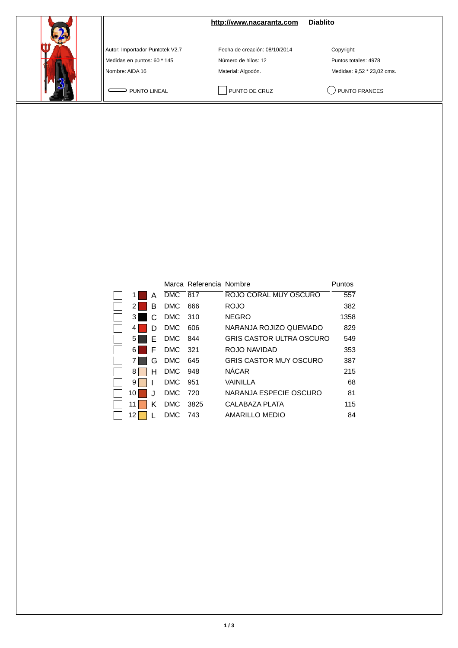

**<http://www.nacaranta.com>Diablito**

Autor: Importador Puntotek V2.7 Fecha de creación: 08/10/2014 Copyright:

Medidas en puntos: 60 \* 145 <br>
Número de hilos: 12 **Puntos totales: 4978** Nombre: AIDA 16 Material: Algodón. Material: Algodón. Medidas: 9,52 \* 23,02 cms.

PUNTO LINEAL PUNTO DE CRUZ QUINTO FRANCES

|    |   |            | Marca Referencia Nombre |                                 | Puntos |
|----|---|------------|-------------------------|---------------------------------|--------|
|    | А | <b>DMC</b> | 817                     | ROJO CORAL MUY OSCURO           | 557    |
| 2  | в | <b>DMC</b> | 666                     | <b>ROJO</b>                     | 382    |
| 3  | C | <b>DMC</b> | 310                     | <b>NEGRO</b>                    | 1358   |
| 4  | D | <b>DMC</b> | 606                     | NARANJA ROJIZO QUEMADO          | 829    |
| 5  | E | <b>DMC</b> | 844                     | <b>GRIS CASTOR ULTRA OSCURO</b> | 549    |
| 6  | F | <b>DMC</b> | 321                     | ROJO NAVIDAD                    | 353    |
|    | G | <b>DMC</b> | 645                     | <b>GRIS CASTOR MUY OSCURO</b>   | 387    |
| 8  | н | <b>DMC</b> | 948                     | <b>NÁCAR</b>                    | 215    |
| 9  |   | <b>DMC</b> | 951                     | VAINILLA                        | 68     |
| 10 |   | <b>DMC</b> | 720                     | NARANJA ESPECIE OSCURO          | 81     |
| 11 | ĸ | <b>DMC</b> | 3825                    | CALABAZA PLATA                  | 115    |
| 12 |   | <b>DMC</b> | 743                     | AMARILLO MEDIO                  | 84     |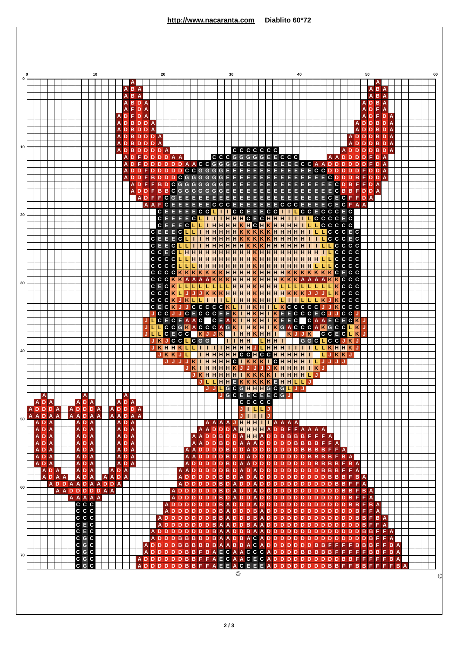